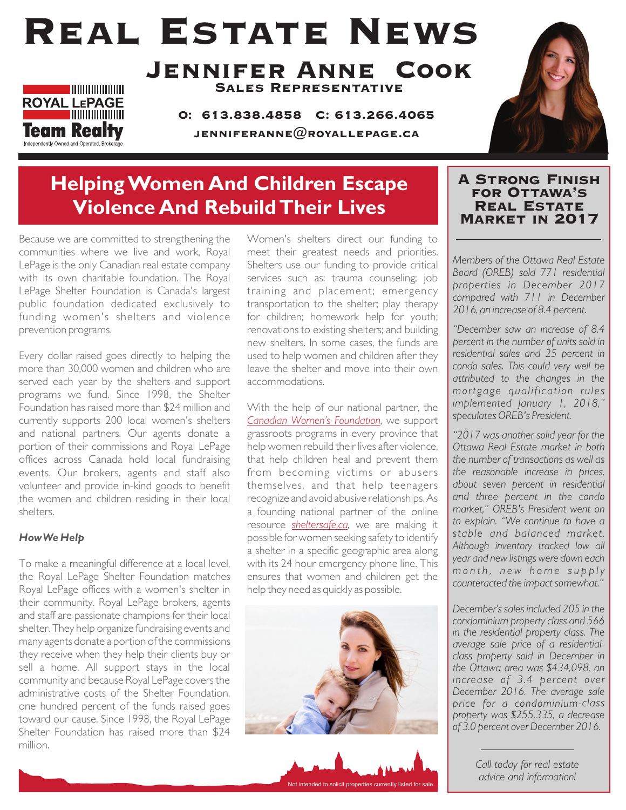# Real Estate News



Jennifer Anne Cook Sales Representative

O: 613.838.4858 C: 613.266.4065 JENNIFERANNE $@$ ROYALLEPAGE.CA



# **Helping Women And Children Escape Violence And Rebuild Their Lives**

Because we are committed to strengthening the communities where we live and work, Royal LePage is the only Canadian real estate company with its own charitable foundation. The Royal LePage Shelter Foundation is Canada's largest public foundation dedicated exclusively to funding women's shelters and violence prevention programs.

Every dollar raised goes directly to helping the more than 30,000 women and children who are served each year by the shelters and support programs we fund. Since 1998, the Shelter Foundation has raised more than \$24 million and currently supports 200 local women's shelters and national partners. Our agents donate a portion of their commissions and Royal LePage offices across Canada hold local fundraising events. Our brokers, agents and staff also volunteer and provide in-kind goods to benefit the women and children residing in their local shelters.

## *How We Help*

To make a meaningful difference at a local level, the Royal LePage Shelter Foundation matches Royal LePage offices with a women's shelter in their community. Royal LePage brokers, agents and staff are passionate champions for their local shelter. They help organize fundraising events and many agents donate a portion of the commissions they receive when they help their clients buy or sell a home. All support stays in the local community and because Royal LePage covers the administrative costs of the Shelter Foundation, one hundred percent of the funds raised goes toward our cause. Since 1998, the Royal LePage Shelter Foundation has raised more than \$24 million.

Women's shelters direct our funding to meet their greatest needs and priorities. Shelters use our funding to provide critical services such as: trauma counseling; job training and placement; emergency transportation to the shelter; play therapy for children; homework help for youth; renovations to existing shelters; and building new shelters. In some cases, the funds are used to help women and children after they leave the shelter and move into their own accommodations.

With the help of our national partner, the *Canadian Women's Foundation*, we support grassroots programs in every province that help women rebuild their lives after violence, that help children heal and prevent them from becoming victims or abusers themselves, and that help teenagers recognize and avoid abusive relationships. As a founding national partner of the online resource *sheltersafe.ca*, we are making it possible for women seeking safety to identify a shelter in a specific geographic area along with its 24 hour emergency phone line. This ensures that women and children get the help they need as quickly as possible.





## A Strong Finish for Ottawa's **REAL ESTATE** Market in 2017

*Members of the Ottawa Real Estate Board (OREB) sold 771 residential properties in December 2017 compared with 711 in December 2016, an increase of 8.4 percent.* 

*"December saw an increase of 8.4 percent in the number of units sold in residential sales and 25 percent in condo sales. This could very well be attributed to the changes in the mort gage qual ification rules implemented January 1, 2018," speculates OREB's President.*

*"2017 was another solid year for the Ottawa Real Estate market in both the number of transactions as well as the reasonable increase in prices, about seven percent in residential and three percent in the condo market," OREB's President went on to explain. "We continue to have a stable and balanced market. Although inventory tracked low all year and new listings were down each m o n t h , n e w h o m e s u p p ly counteracted the impact somewhat."*

*December's sales included 205 in the condominium property class and 566 in the residential property class. The average sale price of a residentialclass property sold in December in the Ottawa area was \$434,098, an increase of 3.4 percent over December 2016. The average sale price for a condominium-class property was \$255,335, a decrease of 3.0 percent over December 2016.* 

> *Call today for real estate advice and information!*